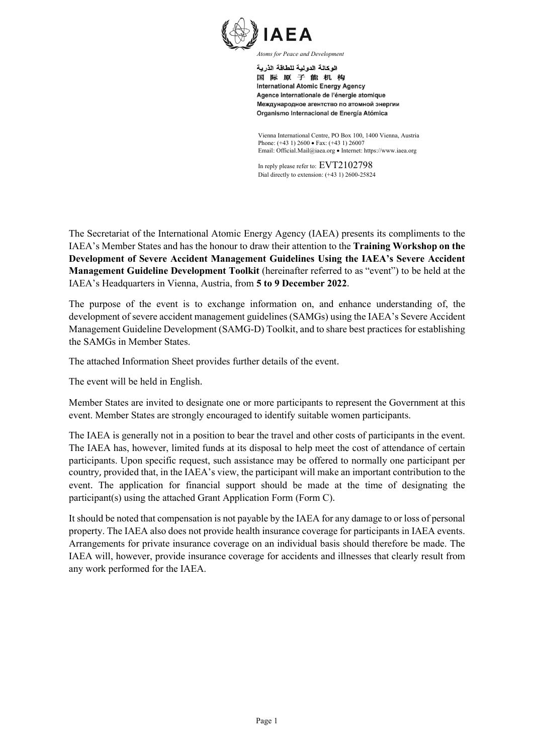

الوكالة الدولية للطاقة الذرية 国际原子能机构 **International Atomic Energy Agency** Agence internationale de l'énergie atomique Международное агентство по атомной энергии Organismo Internacional de Energía Atómica

Vienna International Centre, PO Box 100, 1400 Vienna, Austria Phone: (+43 1) 2600 • Fax: (+43 1) 26007 Email: Official.Mail@iaea.org • Internet: https://www.iaea.org

In reply please refer to: EVT2102798 Dial directly to extension: (+43 1) 2600-25824

The Secretariat of the International Atomic Energy Agency (IAEA) presents its compliments to the IAEA's Member States and has the honour to draw their attention to the **Training Workshop on the Development of Severe Accident Management Guidelines Using the IAEA's Severe Accident Management Guideline Development Toolkit** (hereinafter referred to as "event") to be held at the IAEA's Headquarters in Vienna, Austria, from **5 to 9 December 2022**.

The purpose of the event is to exchange information on, and enhance understanding of, the development of severe accident management guidelines (SAMGs) using the IAEA's Severe Accident Management Guideline Development (SAMG-D) Toolkit, and to share best practices for establishing the SAMGs in Member States.

The attached Information Sheet provides further details of the event.

The event will be held in English.

Member States are invited to designate one or more participants to represent the Government at this event. Member States are strongly encouraged to identify suitable women participants.

The IAEA is generally not in a position to bear the travel and other costs of participants in the event. The IAEA has, however, limited funds at its disposal to help meet the cost of attendance of certain participants. Upon specific request, such assistance may be offered to normally one participant per country, provided that, in the IAEA's view, the participant will make an important contribution to the event. The application for financial support should be made at the time of designating the participant(s) using the attached Grant Application Form (Form C).

It should be noted that compensation is not payable by the IAEA for any damage to or loss of personal property. The IAEA also does not provide health insurance coverage for participants in IAEA events. Arrangements for private insurance coverage on an individual basis should therefore be made. The IAEA will, however, provide insurance coverage for accidents and illnesses that clearly result from any work performed for the IAEA.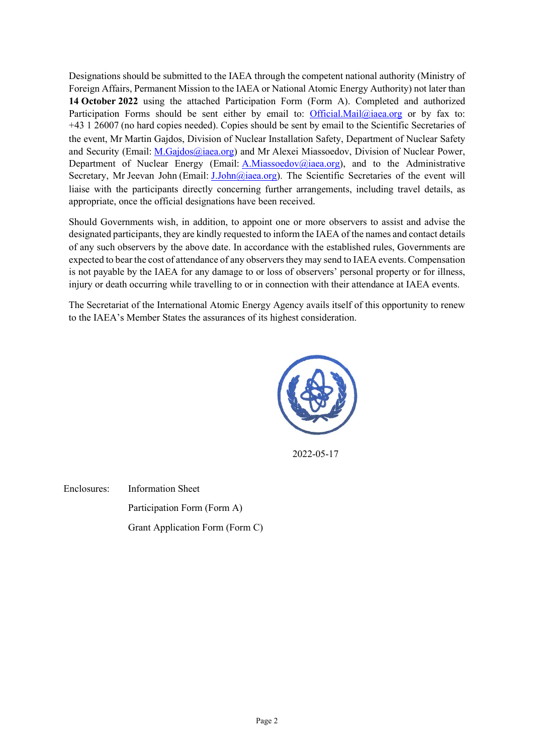Designations should be submitted to the IAEA through the competent national authority (Ministry of Foreign Affairs, Permanent Mission to the IAEA or National Atomic Energy Authority) not later than **14 October 2022** using the attached Participation Form (Form A). Completed and authorized Participation Forms should be sent either by email to: [Official.Mail@iaea.org](mailto:Official.Mail@iaea.org) or by fax to: +43 1 26007 (no hard copies needed). Copies should be sent by email to the Scientific Secretaries of the event, Mr Martin Gajdos, Division of Nuclear Installation Safety, Department of Nuclear Safety and Security (Email: [M.Gajdos@iaea.org\)](mailto:M.Gajdos@iaea.org) and Mr Alexei Miassoedov, Division of Nuclear Power, Department of Nuclear Energy (Email: [A.Miassoedov@iaea.org\)](mailto:A.Miassoedov@iaea.org), and to the Administrative Secretary, Mr Jeevan John (Email: *J.John@iaea.org*). The Scientific Secretaries of the event will liaise with the participants directly concerning further arrangements, including travel details, as appropriate, once the official designations have been received.

Should Governments wish, in addition, to appoint one or more observers to assist and advise the designated participants, they are kindly requested to inform the IAEA of the names and contact details of any such observers by the above date. In accordance with the established rules, Governments are expected to bear the cost of attendance of any observers they may send to IAEA events. Compensation is not payable by the IAEA for any damage to or loss of observers' personal property or for illness, injury or death occurring while travelling to or in connection with their attendance at IAEA events.

The Secretariat of the International Atomic Energy Agency avails itself of this opportunity to renew to the IAEA's Member States the assurances of its highest consideration.



2022-05-17

Enclosures: Information Sheet Participation Form (Form A) Grant Application Form (Form C)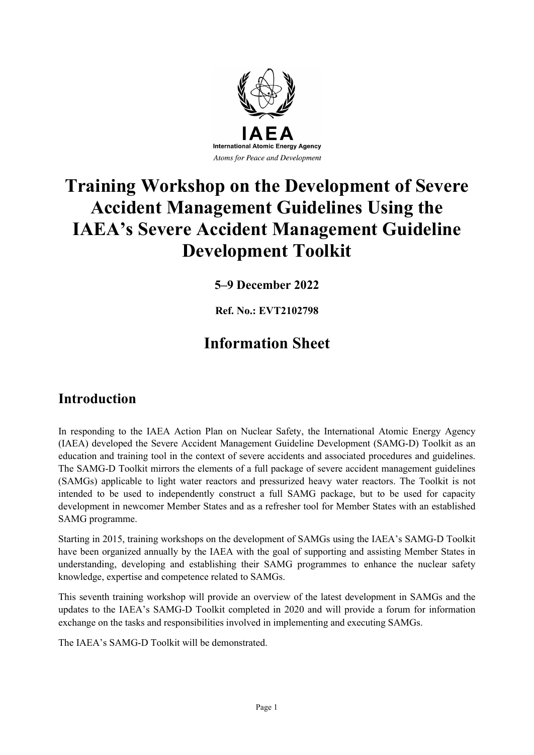

# **Training Workshop on the Development of Severe Accident Management Guidelines Using the IAEA's Severe Accident Management Guideline Development Toolkit**

**5–9 December 2022**

**Ref. No.: EVT2102798**

# **Information Sheet**

### **Introduction**

In responding to the IAEA Action Plan on Nuclear Safety, the International Atomic Energy Agency (IAEA) developed the Severe Accident Management Guideline Development (SAMG-D) Toolkit as an education and training tool in the context of severe accidents and associated procedures and guidelines. The SAMG-D Toolkit mirrors the elements of a full package of severe accident management guidelines (SAMGs) applicable to light water reactors and pressurized heavy water reactors. The Toolkit is not intended to be used to independently construct a full SAMG package, but to be used for capacity development in newcomer Member States and as a refresher tool for Member States with an established SAMG programme.

Starting in 2015, training workshops on the development of SAMGs using the IAEA's SAMG-D Toolkit have been organized annually by the IAEA with the goal of supporting and assisting Member States in understanding, developing and establishing their SAMG programmes to enhance the nuclear safety knowledge, expertise and competence related to SAMGs.

This seventh training workshop will provide an overview of the latest development in SAMGs and the updates to the IAEA's SAMG-D Toolkit completed in 2020 and will provide a forum for information exchange on the tasks and responsibilities involved in implementing and executing SAMGs.

The IAEA's SAMG-D Toolkit will be demonstrated.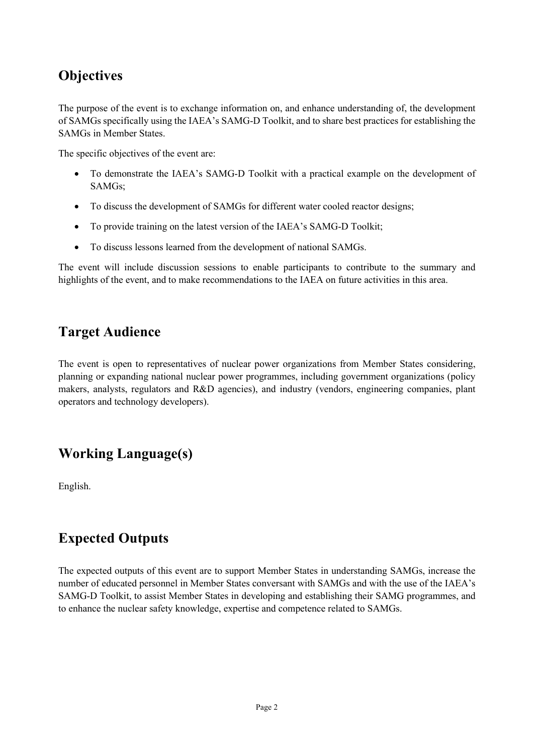# **Objectives**

The purpose of the event is to exchange information on, and enhance understanding of, the development of SAMGs specifically using the IAEA's SAMG-D Toolkit, and to share best practices for establishing the SAMGs in Member States.

The specific objectives of the event are:

- To demonstrate the IAEA's SAMG-D Toolkit with a practical example on the development of SAMGs;
- To discuss the development of SAMGs for different water cooled reactor designs;
- To provide training on the latest version of the IAEA's SAMG-D Toolkit;
- To discuss lessons learned from the development of national SAMGs.

The event will include discussion sessions to enable participants to contribute to the summary and highlights of the event, and to make recommendations to the IAEA on future activities in this area.

## **Target Audience**

The event is open to representatives of nuclear power organizations from Member States considering, planning or expanding national nuclear power programmes, including government organizations (policy makers, analysts, regulators and R&D agencies), and industry (vendors, engineering companies, plant operators and technology developers).

## **Working Language(s)**

English.

# **Expected Outputs**

The expected outputs of this event are to support Member States in understanding SAMGs, increase the number of educated personnel in Member States conversant with SAMGs and with the use of the IAEA's SAMG-D Toolkit, to assist Member States in developing and establishing their SAMG programmes, and to enhance the nuclear safety knowledge, expertise and competence related to SAMGs.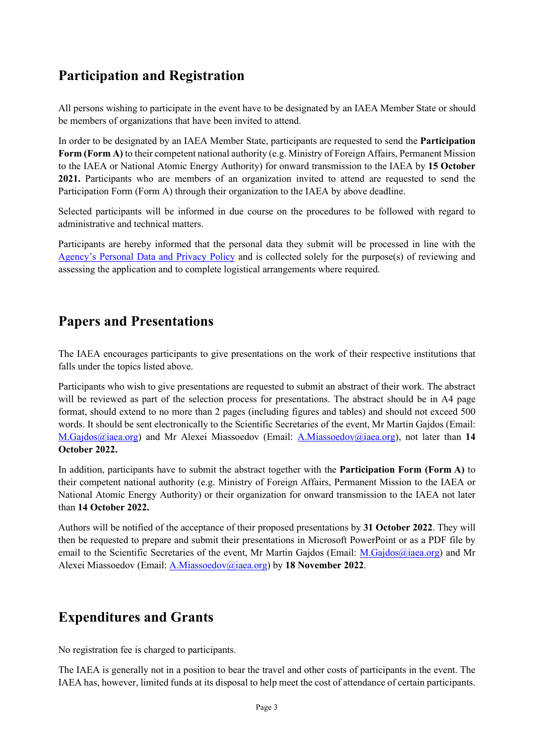# **Participation and Registration**

All persons wishing to participate in the event have to be designated by an IAEA Member State or should be members of organizations that have been invited to attend.

In order to be designated by an IAEA Member State, participants are requested to send the **Participation Form (Form A)** to their competent national authority (e.g. Ministry of Foreign Affairs, Permanent Mission to the IAEA or National Atomic Energy Authority) for onward transmission to the IAEA by **15 October 2021.** Participants who are members of an organization invited to attend are requested to send the Participation Form (Form A) through their organization to the IAEA by above deadline.

Selected participants will be informed in due course on the procedures to be followed with regard to administrative and technical matters.

Participants are hereby informed that the personal data they submit will be processed in line with the [Agency's Personal Data and Privacy Policy](https://www.iaea.org/about/privacy-policy#:%7E:text=The%20IAEA%20is%20committed%20to,accountable%20and%20non%2Ddiscriminatory%20manner.&text=The%20Privacy%20Policy%20provides%20the,carrying%20out%20its%20mandated%20activities.) and is collected solely for the purpose(s) of reviewing and assessing the application and to complete logistical arrangements where required.

### **Papers and Presentations**

The IAEA encourages participants to give presentations on the work of their respective institutions that falls under the topics listed above.

Participants who wish to give presentations are requested to submit an abstract of their work. The abstract will be reviewed as part of the selection process for presentations. The abstract should be in A4 page format, should extend to no more than 2 pages (including figures and tables) and should not exceed 500 words. It should be sent electronically to the Scientific Secretaries of the event, Mr Martin Gajdos (Email: [M.Gajdos@iaea.org\)](mailto:M.Gajdos@iaea.org) and Mr Alexei Miassoedov (Email: [A.Miassoedov@iaea.org\)](mailto:A.Miassoedov@iaea.org), not later than **14 October 2022.**

In addition, participants have to submit the abstract together with the **Participation Form (Form A)** to their competent national authority (e.g. Ministry of Foreign Affairs, Permanent Mission to the IAEA or National Atomic Energy Authority) or their organization for onward transmission to the IAEA not later than **14 October 2022.** 

Authors will be notified of the acceptance of their proposed presentations by **31 October 2022**. They will then be requested to prepare and submit their presentations in Microsoft PowerPoint or as a PDF file by email to the Scientific Secretaries of the event, Mr Martin Gajdos (Email: [M.Gajdos@iaea.org\)](mailto:M.Gajdos@iaea.org) and Mr Alexei Miassoedov (Email[: A.Miassoedov@iaea.org\)](mailto:A.Miassoedov@iaea.org) by **18 November 2022**.

## **Expenditures and Grants**

No registration fee is charged to participants.

The IAEA is generally not in a position to bear the travel and other costs of participants in the event. The IAEA has, however, limited funds at its disposal to help meet the cost of attendance of certain participants.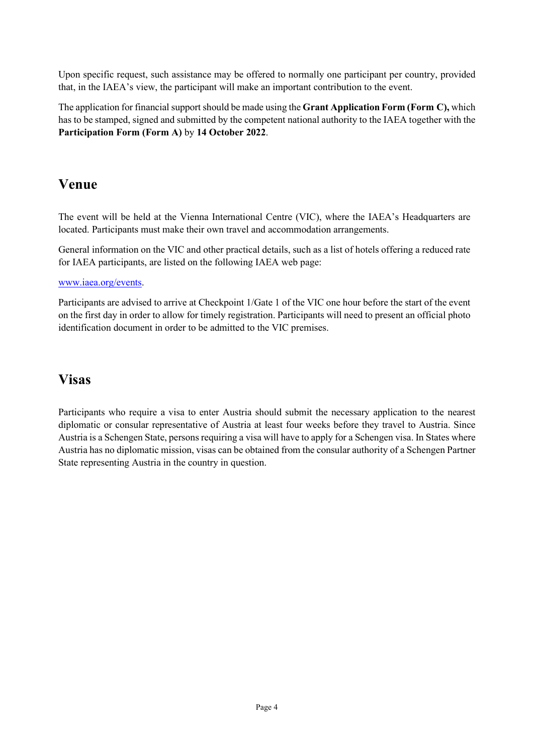Upon specific request, such assistance may be offered to normally one participant per country, provided that, in the IAEA's view, the participant will make an important contribution to the event.

The application for financial support should be made using the **Grant Application Form (Form C),** which has to be stamped, signed and submitted by the competent national authority to the IAEA together with the **Participation Form (Form A)** by **14 October 2022**.

### **Venue**

The event will be held at the Vienna International Centre (VIC), where the IAEA's Headquarters are located. Participants must make their own travel and accommodation arrangements.

General information on the VIC and other practical details, such as a list of hotels offering a reduced rate for IAEA participants, are listed on the following IAEA web page:

#### [www.iaea.org/events.](http://www.iaea.org/events)

Participants are advised to arrive at Checkpoint 1/Gate 1 of the VIC one hour before the start of the event on the first day in order to allow for timely registration. Participants will need to present an official photo identification document in order to be admitted to the VIC premises.

### **Visas**

Participants who require a visa to enter Austria should submit the necessary application to the nearest diplomatic or consular representative of Austria at least four weeks before they travel to Austria. Since Austria is a Schengen State, persons requiring a visa will have to apply for a Schengen visa. In States where Austria has no diplomatic mission, visas can be obtained from the consular authority of a Schengen Partner State representing Austria in the country in question.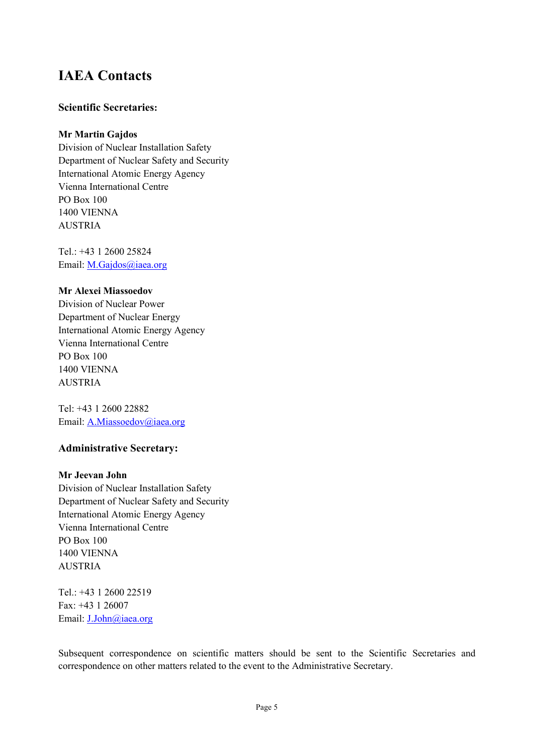## **IAEA Contacts**

#### **Scientific Secretaries:**

#### **Mr Martin Gajdos**

Division of Nuclear Installation Safety Department of Nuclear Safety and Security International Atomic Energy Agency Vienna International Centre PO Box 100 1400 VIENNA AUSTRIA

Tel.: +43 1 2600 25824 Email: [M.Gajdos@iaea.org](mailto:M.Gajdos@iaea.org)

#### **Mr Alexei Miassoedov**

Division of Nuclear Power Department of Nuclear Energy International Atomic Energy Agency Vienna International Centre PO Box 100 1400 VIENNA AUSTRIA

Tel: +43 1 2600 22882 Email: [A.Miassoedov@iaea.org](mailto:A.Miassoedov@iaea.org)

#### **Administrative Secretary:**

#### **Mr Jeevan John**

Division of Nuclear Installation Safety Department of Nuclear Safety and Security International Atomic Energy Agency Vienna International Centre PO Box 100 1400 VIENNA AUSTRIA

Tel.: +43 1 2600 22519 Fax: +43 1 26007 Email: [J.John@iaea.org](mailto:J.John@iaea.org)

Subsequent correspondence on scientific matters should be sent to the Scientific Secretaries and correspondence on other matters related to the event to the Administrative Secretary.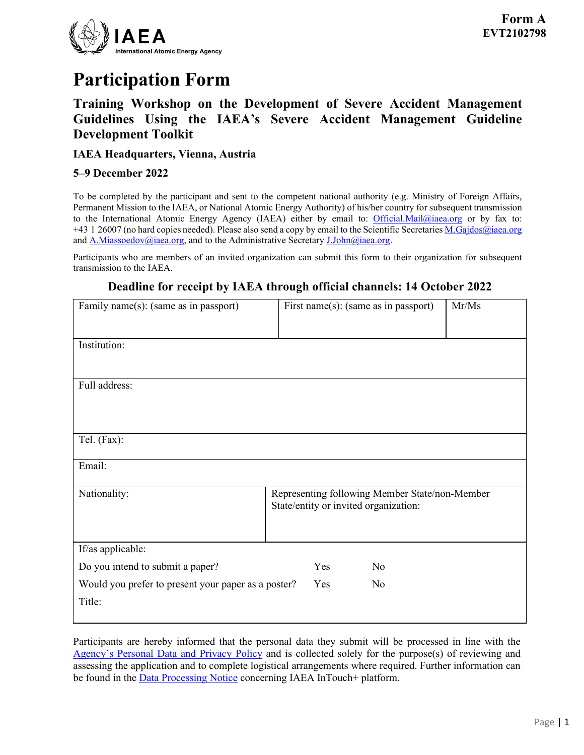

# **Participation Form**

### **Training Workshop on the Development of Severe Accident Management Guidelines Using the IAEA's Severe Accident Management Guideline Development Toolkit**

#### **IAEA Headquarters, Vienna, Austria**

#### **5–9 December 2022**

To be completed by the participant and sent to the competent national authority (e.g. Ministry of Foreign Affairs, Permanent Mission to the IAEA, or National Atomic Energy Authority) of his/her country for subsequent transmission to the International Atomic Energy Agency (IAEA) either by email to: [Official.Mail@iaea.org](mailto:official.mail@iaea.org) or by fax to: +43 1 26007 (no hard copies needed). Please also send a copy by email to the Scientific Secretaries [M.Gajdos@iaea.org](mailto:M.Gajdos@iaea.org) and  $\underline{A.Miassoedov@iaea.org}$ , and to the Administrative Secretary  $\underline{J.John@iaea.org}$ .

Participants who are members of an invited organization can submit this form to their organization for subsequent transmission to the IAEA.

#### **Deadline for receipt by IAEA through official channels: 14 October 2022**

| Family name(s): (same as in passport)               | First name(s): (same as in passport)           | Mr/Ms |  |
|-----------------------------------------------------|------------------------------------------------|-------|--|
|                                                     |                                                |       |  |
| Institution:                                        |                                                |       |  |
|                                                     |                                                |       |  |
|                                                     |                                                |       |  |
| Full address:                                       |                                                |       |  |
|                                                     |                                                |       |  |
|                                                     |                                                |       |  |
| Tel. (Fax):                                         |                                                |       |  |
|                                                     |                                                |       |  |
| Email:                                              |                                                |       |  |
| Nationality:                                        | Representing following Member State/non-Member |       |  |
|                                                     | State/entity or invited organization:          |       |  |
|                                                     |                                                |       |  |
| If/as applicable:                                   |                                                |       |  |
|                                                     |                                                |       |  |
| Do you intend to submit a paper?                    | Yes<br>No                                      |       |  |
| Would you prefer to present your paper as a poster? | Yes<br>No                                      |       |  |
| Title:                                              |                                                |       |  |
|                                                     |                                                |       |  |

Participants are hereby informed that the personal data they submit will be processed in line with the [Agency's Personal Data and Privacy Policy](https://www.iaea.org/about/privacy-policy) and is collected solely for the purpose(s) of reviewing and assessing the application and to complete logistical arrangements where required. Further information can be found in the **Data Processing Notice** concerning IAEA InTouch+ platform.